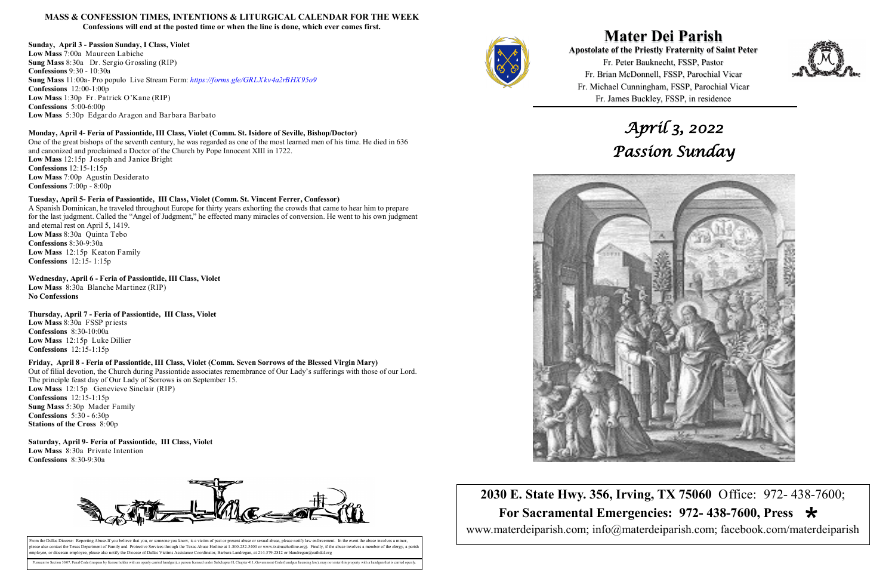**Mater Dei Parish Apostolate of the Priestly Fraternity of Saint Peter**  Fr. Peter Bauknecht, FSSP, Pastor Fr. Brian McDonnell, FSSP, Parochial Vicar Fr. Michael Cunningham, FSSP, Parochial Vicar Fr. James Buckley, FSSP, in residence



**2030 E. State Hwy. 356, Irving, TX 75060** Office: 972- 438-7600;  **For Sacramental Emergencies: 972- 438-7600, Press**  www.materdeiparish.com; info@materdeiparish.com; facebook.com/materdeiparish



### **MASS & CONFESSION TIMES, INTENTIONS & LITURGICAL CALENDAR FOR THE WEEK Confessions will end at the posted time or when the line is done, which ever comes first.**

**Sunday, April 3 - Passion Sunday, I Class, Violet Low Mass** 7:00a Maureen Labiche **Sung Mass** 8:30a Dr. Sergio Grossling (RIP) **Confessions** 9:30 - 10:30a **Sung Mass** 11:00a- Pro populo Live Stream Form: *https://forms.gle/GRLXkv4a2rBHX95o9* **Confessions** 12:00-1:00p **Low Mass** 1:30p Fr. Patrick O'Kane (RIP) **Confessions** 5:00-6:00p **Low Mass** 5:30p Edgardo Aragon and Barbara Barbato

### **Monday, April 4- Feria of Passiontide, III Class, Violet (Comm. St. Isidore of Seville, Bishop/Doctor)**

One of the great bishops of the seventh century, he was regarded as one of the most learned men of his time. He died in 636 and canonized and proclaimed a Doctor of the Church by Pope Innocent XIII in 1722. **Low Mass** 12:15p Joseph and Janice Bright **Confessions** 12:15-1:15p **Low Mass** 7:00p Agustin Desiderato **Confessions** 7:00p - 8:00p

### **Tuesday, April 5- Feria of Passiontide, III Class, Violet (Comm. St. Vincent Ferrer, Confessor)**

From the Dallas Diocese: Reporting Abuse-If you believe that you, or someone you know, is a victim of past or present abuse or sexual abuse, please notify law enforcement. In the event the abuse involves a minor blease also contact the Texas Department of Family and Protective Services through the Texas Abuse Hotline at 1-800-252-5400 or www.txabusehotline.org). Finally, if the abuse involves a member of the clergy, a paris employee, or diocesan employee, please also notify the Diocese of Dallas Victims Assistance Coordinator, Barbara Landregan, at 214-379-2812 or blandregan@cathdal.org

Pursuant to Section 30.07, Penal Code (trespass by license holder with an openly carried handgun), a person licensed under Subchapter H, Chapter 411, Government Code (handgun licensing law), may not enter this property wit



A Spanish Dominican, he traveled throughout Europe for thirty years exhorting the crowds that came to hear him to prepare for the last judgment. Called the "Angel of Judgment," he effected many miracles of conversion. He went to his own judgment and eternal rest on April 5, 1419. **Low Mass** 8:30a Quinta Tebo **Confessions** 8:30-9:30a **Low Mass** 12:15p Keaton Family **Confessions** 12:15- 1:15p

**Wednesday, April 6 - Feria of Passiontide, III Class, Violet Low Mass** 8:30a Blanche Martinez (RIP) **No Confessions**

**Thursday, April 7 - Feria of Passiontide, III Class, Violet Low Mass** 8:30a FSSP priests **Confessions** 8:30-10:00a **Low Mass** 12:15p Luke Dillier

**Confessions** 12:15-1:15p

### **Friday, April 8 - Feria of Passiontide, III Class, Violet (Comm. Seven Sorrows of the Blessed Virgin Mary)**

Out of filial devotion, the Church during Passiontide associates remembrance of Our Lady's sufferings with those of our Lord. The principle feast day of Our Lady of Sorrows is on September 15.

**Low Mass** 12:15p Genevieve Sinclair (RIP) **Confessions** 12:15-1:15p **Sung Mass** 5:30p Mader Family **Confessions** 5:30 - 6:30p **Stations of the Cross** 8:00p

**Saturday, April 9- Feria of Passiontide, III Class, Violet Low Mass** 8:30a Private Intention **Confessions** 8:30-9:30a



# *April 3, 2022 Passion Sunday*